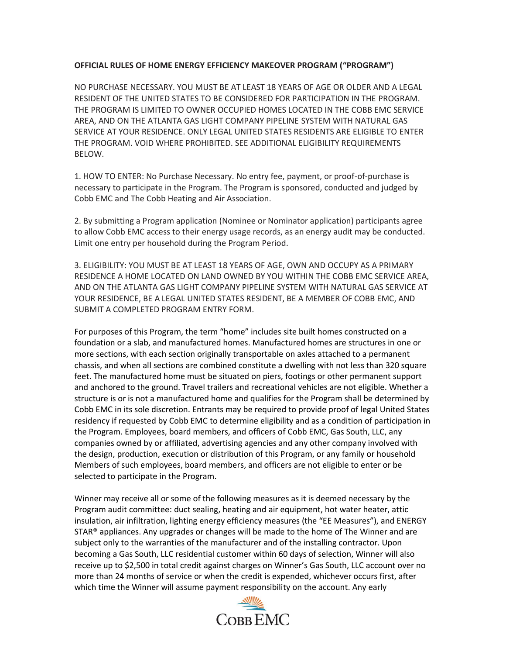## **OFFICIAL RULES OF HOME ENERGY EFFICIENCY MAKEOVER PROGRAM ("PROGRAM")**

NO PURCHASE NECESSARY. YOU MUST BE AT LEAST 18 YEARS OF AGE OR OLDER AND A LEGAL RESIDENT OF THE UNITED STATES TO BE CONSIDERED FOR PARTICIPATION IN THE PROGRAM. THE PROGRAM IS LIMITED TO OWNER OCCUPIED HOMES LOCATED IN THE COBB EMC SERVICE AREA, AND ON THE ATLANTA GAS LIGHT COMPANY PIPELINE SYSTEM WITH NATURAL GAS SERVICE AT YOUR RESIDENCE. ONLY LEGAL UNITED STATES RESIDENTS ARE ELIGIBLE TO ENTER THE PROGRAM. VOID WHERE PROHIBITED. SEE ADDITIONAL ELIGIBILITY REQUIREMENTS BELOW.

1. HOW TO ENTER: No Purchase Necessary. No entry fee, payment, or proof-of-purchase is necessary to participate in the Program. The Program is sponsored, conducted and judged by Cobb EMC and The Cobb Heating and Air Association.

2. By submitting a Program application (Nominee or Nominator application) participants agree to allow Cobb EMC access to their energy usage records, as an energy audit may be conducted. Limit one entry per household during the Program Period.

3. ELIGIBILITY: YOU MUST BE AT LEAST 18 YEARS OF AGE, OWN AND OCCUPY AS A PRIMARY RESIDENCE A HOME LOCATED ON LAND OWNED BY YOU WITHIN THE COBB EMC SERVICE AREA, AND ON THE ATLANTA GAS LIGHT COMPANY PIPELINE SYSTEM WITH NATURAL GAS SERVICE AT YOUR RESIDENCE, BE A LEGAL UNITED STATES RESIDENT, BE A MEMBER OF COBB EMC, AND SUBMIT A COMPLETED PROGRAM ENTRY FORM.

For purposes of this Program, the term "home" includes site built homes constructed on a foundation or a slab, and manufactured homes. Manufactured homes are structures in one or more sections, with each section originally transportable on axles attached to a permanent chassis, and when all sections are combined constitute a dwelling with not less than 320 square feet. The manufactured home must be situated on piers, footings or other permanent support and anchored to the ground. Travel trailers and recreational vehicles are not eligible. Whether a structure is or is not a manufactured home and qualifies for the Program shall be determined by Cobb EMC in its sole discretion. Entrants may be required to provide proof of legal United States residency if requested by Cobb EMC to determine eligibility and as a condition of participation in the Program. Employees, board members, and officers of Cobb EMC, Gas South, LLC, any companies owned by or affiliated, advertising agencies and any other company involved with the design, production, execution or distribution of this Program, or any family or household Members of such employees, board members, and officers are not eligible to enter or be selected to participate in the Program.

Winner may receive all or some of the following measures as it is deemed necessary by the Program audit committee: duct sealing, heating and air equipment, hot water heater, attic insulation, air infiltration, lighting energy efficiency measures (the "EE Measures"), and ENERGY STAR® appliances. Any upgrades or changes will be made to the home of The Winner and are subject only to the warranties of the manufacturer and of the installing contractor. Upon becoming a Gas South, LLC residential customer within 60 days of selection, Winner will also receive up to \$2,500 in total credit against charges on Winner's Gas South, LLC account over no more than 24 months of service or when the credit is expended, whichever occurs first, after which time the Winner will assume payment responsibility on the account. Any early

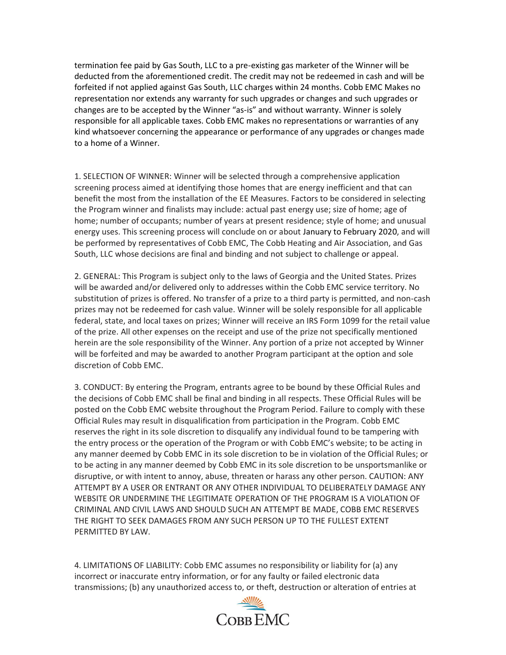termination fee paid by Gas South, LLC to a pre-existing gas marketer of the Winner will be deducted from the aforementioned credit. The credit may not be redeemed in cash and will be forfeited if not applied against Gas South, LLC charges within 24 months. Cobb EMC Makes no representation nor extends any warranty for such upgrades or changes and such upgrades or changes are to be accepted by the Winner "as-is" and without warranty. Winner is solely responsible for all applicable taxes. Cobb EMC makes no representations or warranties of any kind whatsoever concerning the appearance or performance of any upgrades or changes made to a home of a Winner.

1. SELECTION OF WINNER: Winner will be selected through a comprehensive application screening process aimed at identifying those homes that are energy inefficient and that can benefit the most from the installation of the EE Measures. Factors to be considered in selecting the Program winner and finalists may include: actual past energy use; size of home; age of home; number of occupants; number of years at present residence; style of home; and unusual energy uses. This screening process will conclude on or about January to February 2020, and will be performed by representatives of Cobb EMC, The Cobb Heating and Air Association, and Gas South, LLC whose decisions are final and binding and not subject to challenge or appeal.

2. GENERAL: This Program is subject only to the laws of Georgia and the United States. Prizes will be awarded and/or delivered only to addresses within the Cobb EMC service territory. No substitution of prizes is offered. No transfer of a prize to a third party is permitted, and non-cash prizes may not be redeemed for cash value. Winner will be solely responsible for all applicable federal, state, and local taxes on prizes; Winner will receive an IRS Form 1099 for the retail value of the prize. All other expenses on the receipt and use of the prize not specifically mentioned herein are the sole responsibility of the Winner. Any portion of a prize not accepted by Winner will be forfeited and may be awarded to another Program participant at the option and sole discretion of Cobb EMC.

3. CONDUCT: By entering the Program, entrants agree to be bound by these Official Rules and the decisions of Cobb EMC shall be final and binding in all respects. These Official Rules will be posted on the Cobb EMC website throughout the Program Period. Failure to comply with these Official Rules may result in disqualification from participation in the Program. Cobb EMC reserves the right in its sole discretion to disqualify any individual found to be tampering with the entry process or the operation of the Program or with Cobb EMC's website; to be acting in any manner deemed by Cobb EMC in its sole discretion to be in violation of the Official Rules; or to be acting in any manner deemed by Cobb EMC in its sole discretion to be unsportsmanlike or disruptive, or with intent to annoy, abuse, threaten or harass any other person. CAUTION: ANY ATTEMPT BY A USER OR ENTRANT OR ANY OTHER INDIVIDUAL TO DELIBERATELY DAMAGE ANY WEBSITE OR UNDERMINE THE LEGITIMATE OPERATION OF THE PROGRAM IS A VIOLATION OF CRIMINAL AND CIVIL LAWS AND SHOULD SUCH AN ATTEMPT BE MADE, COBB EMC RESERVES THE RIGHT TO SEEK DAMAGES FROM ANY SUCH PERSON UP TO THE FULLEST EXTENT PERMITTED BY LAW.

4. LIMITATIONS OF LIABILITY: Cobb EMC assumes no responsibility or liability for (a) any incorrect or inaccurate entry information, or for any faulty or failed electronic data transmissions; (b) any unauthorized access to, or theft, destruction or alteration of entries at